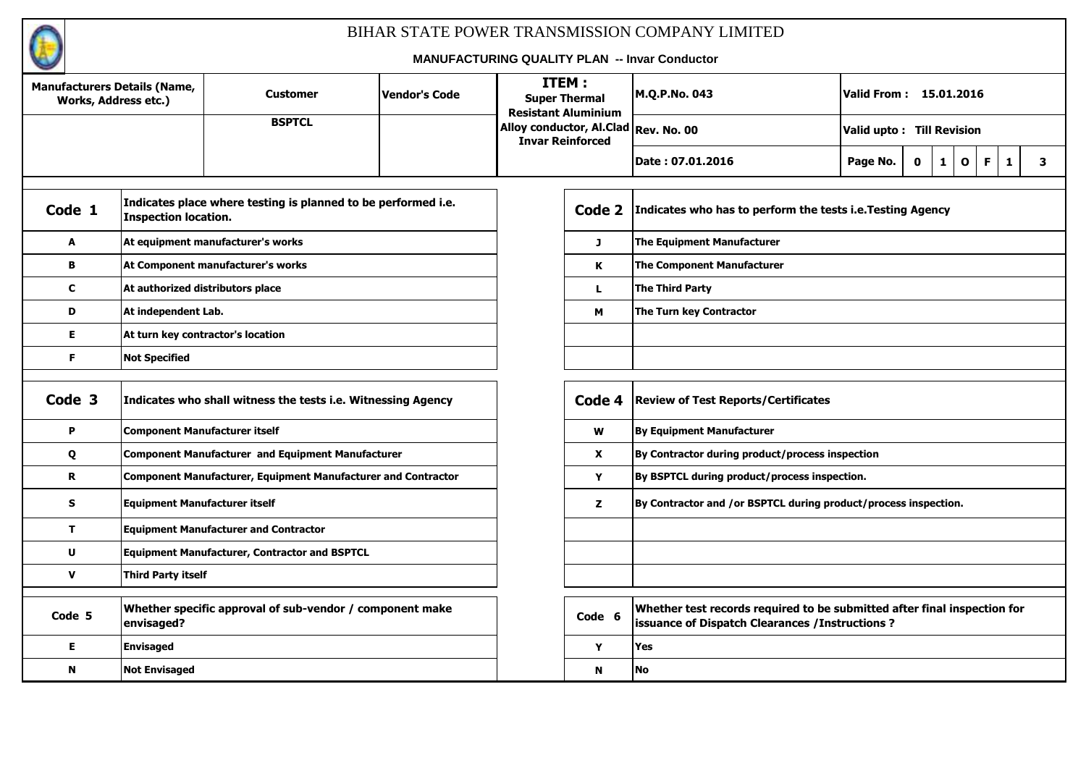

| <b>Manufacturers Details (Name,</b><br>Works, Address etc.) |                                      | <b>Customer</b>                                                      | Vendor's Code | ITEM: | <b>Super Thermal</b><br><b>Resistant Aluminium</b> | M.Q.P.No. 043                                                                                                                | Valid From: 15.01.2016    |   |         |              |   |
|-------------------------------------------------------------|--------------------------------------|----------------------------------------------------------------------|---------------|-------|----------------------------------------------------|------------------------------------------------------------------------------------------------------------------------------|---------------------------|---|---------|--------------|---|
|                                                             |                                      | <b>BSPTCL</b>                                                        |               |       | <b>Invar Reinforced</b>                            | Alloy conductor, Al.Clad Rev. No. 00                                                                                         | Valid upto: Till Revision |   |         |              |   |
|                                                             |                                      |                                                                      |               |       |                                                    | Date: 07.01.2016                                                                                                             | Page No.<br>0             | 1 | 0<br>F. | $\mathbf{1}$ | 3 |
|                                                             |                                      |                                                                      |               |       |                                                    |                                                                                                                              |                           |   |         |              |   |
| Code 1                                                      | <b>Inspection location.</b>          | Indicates place where testing is planned to be performed i.e.        |               |       | Code 2                                             | Indicates who has to perform the tests i.e. Testing Agency                                                                   |                           |   |         |              |   |
| A                                                           |                                      | At equipment manufacturer's works                                    |               |       | J                                                  | <b>The Equipment Manufacturer</b>                                                                                            |                           |   |         |              |   |
| $\mathbf{B}$                                                |                                      | At Component manufacturer's works                                    |               |       | K                                                  | <b>The Component Manufacturer</b>                                                                                            |                           |   |         |              |   |
| $\mathbf c$                                                 | At authorized distributors place     |                                                                      |               |       | L.                                                 | The Third Party                                                                                                              |                           |   |         |              |   |
| D                                                           | At independent Lab.                  |                                                                      |               |       | M                                                  | The Turn key Contractor                                                                                                      |                           |   |         |              |   |
| E                                                           |                                      | At turn key contractor's location                                    |               |       |                                                    |                                                                                                                              |                           |   |         |              |   |
| F.                                                          | <b>Not Specified</b>                 |                                                                      |               |       |                                                    |                                                                                                                              |                           |   |         |              |   |
|                                                             |                                      |                                                                      |               |       |                                                    |                                                                                                                              |                           |   |         |              |   |
| Code 3                                                      |                                      | Indicates who shall witness the tests i.e. Witnessing Agency         |               |       | Code 4                                             | <b>Review of Test Reports/Certificates</b>                                                                                   |                           |   |         |              |   |
| P                                                           | <b>Component Manufacturer itself</b> |                                                                      |               |       | $\boldsymbol{\mathsf{W}}$                          | By Equipment Manufacturer                                                                                                    |                           |   |         |              |   |
| Q                                                           |                                      | <b>Component Manufacturer and Equipment Manufacturer</b>             |               |       | $\mathbf{x}$                                       | By Contractor during product/process inspection                                                                              |                           |   |         |              |   |
| R                                                           |                                      | <b>Component Manufacturer, Equipment Manufacturer and Contractor</b> |               |       | Y                                                  | By BSPTCL during product/process inspection.                                                                                 |                           |   |         |              |   |
| S                                                           | <b>Equipment Manufacturer itself</b> |                                                                      |               |       | z                                                  | By Contractor and /or BSPTCL during product/process inspection.                                                              |                           |   |         |              |   |
| T.                                                          |                                      | <b>Equipment Manufacturer and Contractor</b>                         |               |       |                                                    |                                                                                                                              |                           |   |         |              |   |
| $\mathbf{U}$                                                |                                      | <b>Equipment Manufacturer, Contractor and BSPTCL</b>                 |               |       |                                                    |                                                                                                                              |                           |   |         |              |   |
| $\mathbf v$                                                 | <b>Third Party itself</b>            |                                                                      |               |       |                                                    |                                                                                                                              |                           |   |         |              |   |
|                                                             |                                      |                                                                      |               |       |                                                    |                                                                                                                              |                           |   |         |              |   |
| Code 5                                                      | envisaged?                           | Whether specific approval of sub-vendor / component make             |               |       | Code 6                                             | Whether test records required to be submitted after final inspection for<br>issuance of Dispatch Clearances / Instructions ? |                           |   |         |              |   |
| E                                                           | <b>Envisaged</b>                     |                                                                      |               |       | Y                                                  | Yes                                                                                                                          |                           |   |         |              |   |
| N                                                           | <b>Not Envisaged</b>                 |                                                                      |               |       | N                                                  | <b>No</b>                                                                                                                    |                           |   |         |              |   |
|                                                             |                                      |                                                                      |               |       |                                                    |                                                                                                                              |                           |   |         |              |   |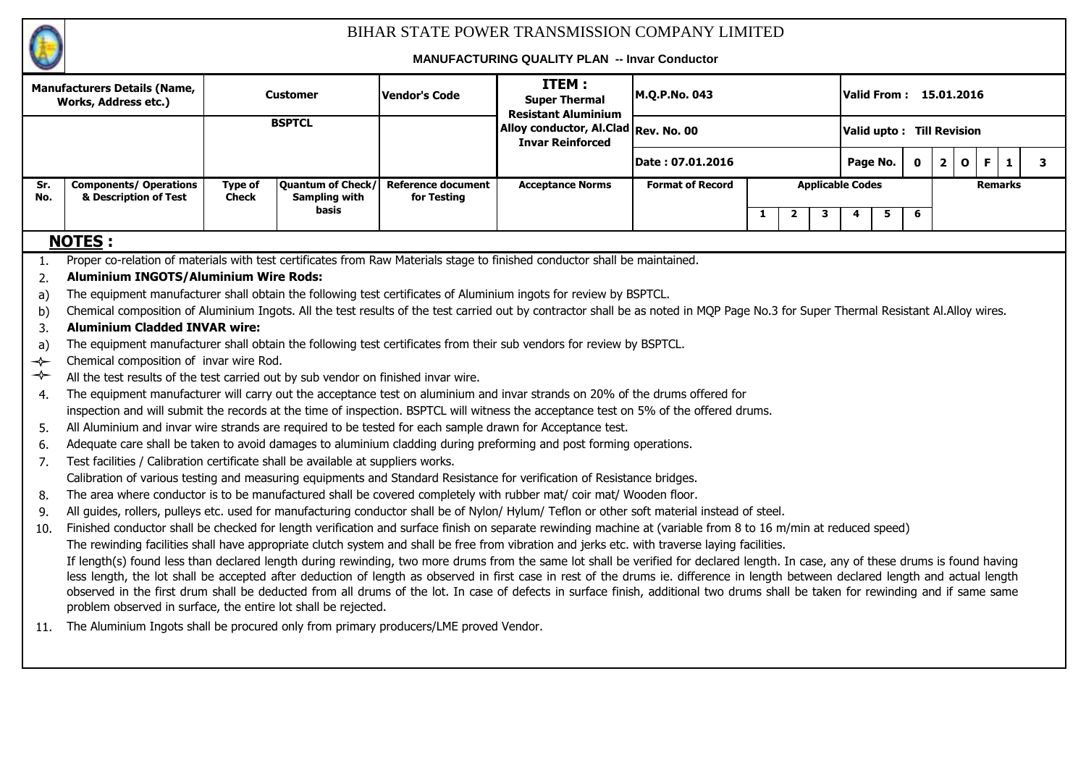

|               | <b>Manufacturers Details (Name,</b><br><b>Works, Address etc.)</b>                                                                                                                                                                                 |                | <b>Customer</b>               | <b>Vendor's Code</b>      | ITEM:<br><b>Super Thermal</b><br><b>Resistant Aluminium</b>     | M.Q.P.No. 043           |              |                |                         |   |          |             | Valid From : 15.01.2016                 |                |   |   |
|---------------|----------------------------------------------------------------------------------------------------------------------------------------------------------------------------------------------------------------------------------------------------|----------------|-------------------------------|---------------------------|-----------------------------------------------------------------|-------------------------|--------------|----------------|-------------------------|---|----------|-------------|-----------------------------------------|----------------|---|---|
|               |                                                                                                                                                                                                                                                    |                | <b>BSPTCL</b>                 |                           | Alloy conductor, Al.Clad Rev. No. 00<br><b>Invar Reinforced</b> |                         |              |                |                         |   |          |             | Valid upto: Till Revision               |                |   |   |
|               |                                                                                                                                                                                                                                                    |                |                               |                           |                                                                 | Date : 07.01.2016       |              |                |                         |   | Page No. | $\mathbf 0$ | $\overline{\mathbf{2}}$<br>$\mathbf{o}$ | F.             | 1 | 3 |
| Sr.           | <b>Components/ Operations</b>                                                                                                                                                                                                                      | <b>Type of</b> | Quantum of Check/             | <b>Reference document</b> | <b>Acceptance Norms</b>                                         | <b>Format of Record</b> |              |                | <b>Applicable Codes</b> |   |          |             |                                         | <b>Remarks</b> |   |   |
| No.           | & Description of Test                                                                                                                                                                                                                              | <b>Check</b>   | <b>Sampling with</b><br>basis | for Testing               |                                                                 |                         |              |                |                         |   |          |             |                                         |                |   |   |
|               |                                                                                                                                                                                                                                                    |                |                               |                           |                                                                 |                         | $\mathbf{1}$ | $\overline{2}$ | 3                       | 4 | 5        | 6           |                                         |                |   |   |
|               | <b>NOTES:</b>                                                                                                                                                                                                                                      |                |                               |                           |                                                                 |                         |              |                |                         |   |          |             |                                         |                |   |   |
| 1.            | Proper co-relation of materials with test certificates from Raw Materials stage to finished conductor shall be maintained.                                                                                                                         |                |                               |                           |                                                                 |                         |              |                |                         |   |          |             |                                         |                |   |   |
| 2.            | <b>Aluminium INGOTS/Aluminium Wire Rods:</b>                                                                                                                                                                                                       |                |                               |                           |                                                                 |                         |              |                |                         |   |          |             |                                         |                |   |   |
| a)            | The equipment manufacturer shall obtain the following test certificates of Aluminium ingots for review by BSPTCL.                                                                                                                                  |                |                               |                           |                                                                 |                         |              |                |                         |   |          |             |                                         |                |   |   |
| b)            | Chemical composition of Aluminium Ingots. All the test results of the test carried out by contractor shall be as noted in MQP Page No.3 for Super Thermal Resistant Al.Alloy wires.                                                                |                |                               |                           |                                                                 |                         |              |                |                         |   |          |             |                                         |                |   |   |
| 3.            | <b>Aluminium Cladded INVAR wire:</b>                                                                                                                                                                                                               |                |                               |                           |                                                                 |                         |              |                |                         |   |          |             |                                         |                |   |   |
| a)            | The equipment manufacturer shall obtain the following test certificates from their sub vendors for review by BSPTCL.                                                                                                                               |                |                               |                           |                                                                 |                         |              |                |                         |   |          |             |                                         |                |   |   |
| $\rightarrow$ | Chemical composition of invar wire Rod.                                                                                                                                                                                                            |                |                               |                           |                                                                 |                         |              |                |                         |   |          |             |                                         |                |   |   |
| $\rightarrow$ | All the test results of the test carried out by sub vendor on finished invar wire.                                                                                                                                                                 |                |                               |                           |                                                                 |                         |              |                |                         |   |          |             |                                         |                |   |   |
| 4.            | The equipment manufacturer will carry out the acceptance test on aluminium and invar strands on 20% of the drums offered for                                                                                                                       |                |                               |                           |                                                                 |                         |              |                |                         |   |          |             |                                         |                |   |   |
|               | inspection and will submit the records at the time of inspection. BSPTCL will witness the acceptance test on 5% of the offered drums.                                                                                                              |                |                               |                           |                                                                 |                         |              |                |                         |   |          |             |                                         |                |   |   |
| 5.            | All Aluminium and invar wire strands are required to be tested for each sample drawn for Acceptance test.                                                                                                                                          |                |                               |                           |                                                                 |                         |              |                |                         |   |          |             |                                         |                |   |   |
| 6.            | Adequate care shall be taken to avoid damages to aluminium cladding during preforming and post forming operations.                                                                                                                                 |                |                               |                           |                                                                 |                         |              |                |                         |   |          |             |                                         |                |   |   |
| 7.            | Test facilities / Calibration certificate shall be available at suppliers works.                                                                                                                                                                   |                |                               |                           |                                                                 |                         |              |                |                         |   |          |             |                                         |                |   |   |
|               | Calibration of various testing and measuring equipments and Standard Resistance for verification of Resistance bridges.                                                                                                                            |                |                               |                           |                                                                 |                         |              |                |                         |   |          |             |                                         |                |   |   |
| 8.            | The area where conductor is to be manufactured shall be covered completely with rubber mat/ coir mat/ Wooden floor.                                                                                                                                |                |                               |                           |                                                                 |                         |              |                |                         |   |          |             |                                         |                |   |   |
| 9.            | All guides, rollers, pulleys etc. used for manufacturing conductor shall be of Nylon/Hylum/Teflon or other soft material instead of steel.                                                                                                         |                |                               |                           |                                                                 |                         |              |                |                         |   |          |             |                                         |                |   |   |
| 10.           | Finished conductor shall be checked for length verification and surface finish on separate rewinding machine at (variable from 8 to 16 m/min at reduced speed)                                                                                     |                |                               |                           |                                                                 |                         |              |                |                         |   |          |             |                                         |                |   |   |
|               | The rewinding facilities shall have appropriate clutch system and shall be free from vibration and jerks etc. with traverse laying facilities.                                                                                                     |                |                               |                           |                                                                 |                         |              |                |                         |   |          |             |                                         |                |   |   |
|               | If length(s) found less than declared length during rewinding, two more drums from the same lot shall be verified for declared length. In case, any of these drums is found having                                                                 |                |                               |                           |                                                                 |                         |              |                |                         |   |          |             |                                         |                |   |   |
|               | less length, the lot shall be accepted after deduction of length as observed in first case in rest of the drums ie. difference in length between declared length and actual length                                                                 |                |                               |                           |                                                                 |                         |              |                |                         |   |          |             |                                         |                |   |   |
|               | observed in the first drum shall be deducted from all drums of the lot. In case of defects in surface finish, additional two drums shall be taken for rewinding and if same same<br>problem observed in surface, the entire lot shall be rejected. |                |                               |                           |                                                                 |                         |              |                |                         |   |          |             |                                         |                |   |   |
|               |                                                                                                                                                                                                                                                    |                |                               |                           |                                                                 |                         |              |                |                         |   |          |             |                                         |                |   |   |
| 11.           | The Aluminium Ingots shall be procured only from primary producers/LME proved Vendor.                                                                                                                                                              |                |                               |                           |                                                                 |                         |              |                |                         |   |          |             |                                         |                |   |   |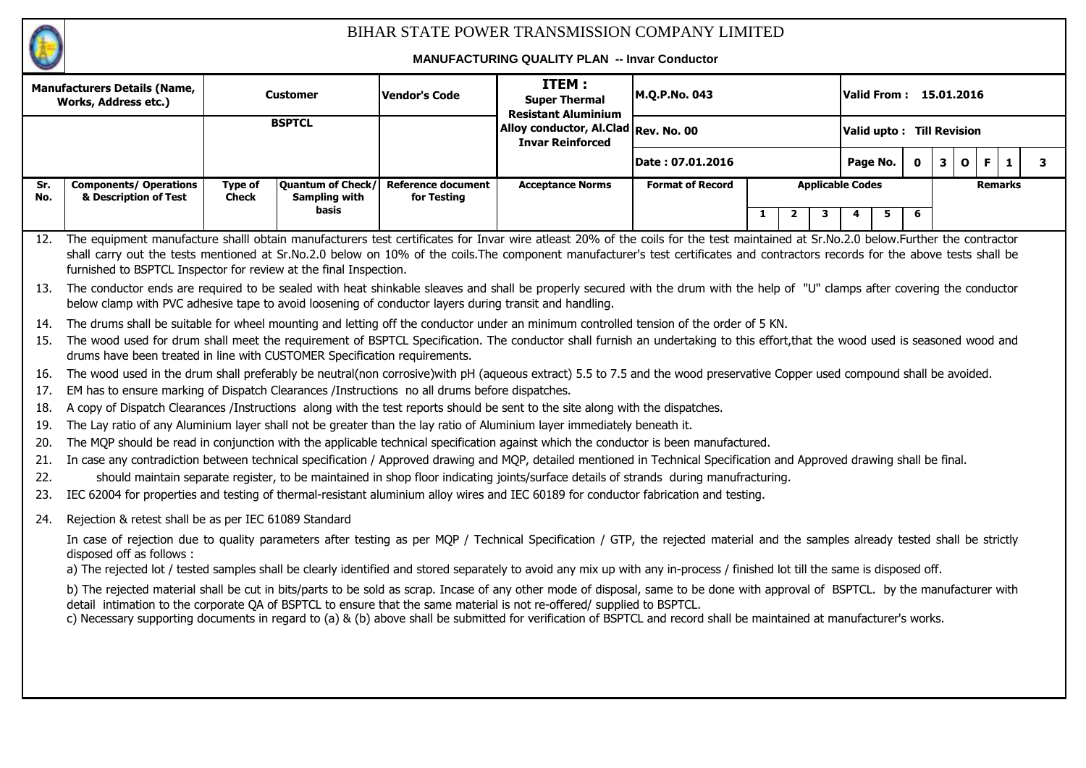

|            |                                                                                                                                                                                                                                                                                                             |                         |                                           |                                          | MANUFACTURING QUALITY PLAN -- INVAT CONDUCTOR                                                                                         |                         |                                |   |                           |   |                              |                |        |  |
|------------|-------------------------------------------------------------------------------------------------------------------------------------------------------------------------------------------------------------------------------------------------------------------------------------------------------------|-------------------------|-------------------------------------------|------------------------------------------|---------------------------------------------------------------------------------------------------------------------------------------|-------------------------|--------------------------------|---|---------------------------|---|------------------------------|----------------|--------|--|
|            | <b>Manufacturers Details (Name,</b><br><b>Works, Address etc.)</b>                                                                                                                                                                                                                                          |                         | Customer                                  | <b>Vendor's Code</b>                     | ITEM:<br><b>Super Thermal</b><br><b>Resistant Aluminium</b>                                                                           | M.Q.P.No. 043           |                                |   | Valid From: 15.01.2016    |   |                              |                |        |  |
|            |                                                                                                                                                                                                                                                                                                             |                         | <b>BSPTCL</b>                             |                                          | Alloy conductor, Al.Clad Rev. No. 00<br><b>Invar Reinforced</b>                                                                       |                         |                                |   | Valid upto: Till Revision |   |                              |                |        |  |
|            |                                                                                                                                                                                                                                                                                                             |                         |                                           |                                          |                                                                                                                                       | Date: 07.01.2016        |                                |   | Page No.                  | 0 | $\mathbf{3}$<br>$\mathbf{o}$ | F              | 3<br>1 |  |
| Sr.<br>No. | <b>Components/ Operations</b><br>& Description of Test                                                                                                                                                                                                                                                      | Type of<br><b>Check</b> | <b>Quantum of Check/</b><br>Sampling with | <b>Reference document</b><br>for Testing | <b>Acceptance Norms</b>                                                                                                               | <b>Format of Record</b> |                                |   | <b>Applicable Codes</b>   |   |                              | <b>Remarks</b> |        |  |
|            |                                                                                                                                                                                                                                                                                                             |                         | basis                                     |                                          |                                                                                                                                       |                         | $\mathbf{1}$<br>$\overline{2}$ | 3 | 5<br>4                    | 6 |                              |                |        |  |
| 12.        | The equipment manufacture shalll obtain manufacturers test certificates for Invar wire atleast 20% of the coils for the test maintained at Sr.No.2.0 below.Further the contractor                                                                                                                           |                         |                                           |                                          |                                                                                                                                       |                         |                                |   |                           |   |                              |                |        |  |
|            | shall carry out the tests mentioned at Sr.No.2.0 below on 10% of the coils.The component manufacturer's test certificates and contractors records for the above tests shall be<br>furnished to BSPTCL Inspector for review at the final Inspection.                                                         |                         |                                           |                                          |                                                                                                                                       |                         |                                |   |                           |   |                              |                |        |  |
| -13.       | The conductor ends are required to be sealed with heat shinkable sleaves and shall be properly secured with the drum with the help of "U" clamps after covering the conductor<br>below clamp with PVC adhesive tape to avoid loosening of conductor layers during transit and handling.                     |                         |                                           |                                          |                                                                                                                                       |                         |                                |   |                           |   |                              |                |        |  |
| 14.        | The drums shall be suitable for wheel mounting and letting off the conductor under an minimum controlled tension of the order of 5 KN.                                                                                                                                                                      |                         |                                           |                                          |                                                                                                                                       |                         |                                |   |                           |   |                              |                |        |  |
| 15.        | The wood used for drum shall meet the requirement of BSPTCL Specification. The conductor shall furnish an undertaking to this effort, that the wood used is seasoned wood and                                                                                                                               |                         |                                           |                                          |                                                                                                                                       |                         |                                |   |                           |   |                              |                |        |  |
|            | drums have been treated in line with CUSTOMER Specification requirements.                                                                                                                                                                                                                                   |                         |                                           |                                          |                                                                                                                                       |                         |                                |   |                           |   |                              |                |        |  |
| 16.        | The wood used in the drum shall preferably be neutral(non corrosive)with pH (aqueous extract) 5.5 to 7.5 and the wood preservative Copper used compound shall be avoided.                                                                                                                                   |                         |                                           |                                          |                                                                                                                                       |                         |                                |   |                           |   |                              |                |        |  |
| 17.        | EM has to ensure marking of Dispatch Clearances /Instructions no all drums before dispatches.                                                                                                                                                                                                               |                         |                                           |                                          |                                                                                                                                       |                         |                                |   |                           |   |                              |                |        |  |
| 18.        | A copy of Dispatch Clearances /Instructions along with the test reports should be sent to the site along with the dispatches.                                                                                                                                                                               |                         |                                           |                                          |                                                                                                                                       |                         |                                |   |                           |   |                              |                |        |  |
| 19.        | The Lay ratio of any Aluminium layer shall not be greater than the lay ratio of Aluminium layer immediately beneath it.                                                                                                                                                                                     |                         |                                           |                                          |                                                                                                                                       |                         |                                |   |                           |   |                              |                |        |  |
| 20.        | The MQP should be read in conjunction with the applicable technical specification against which the conductor is been manufactured.                                                                                                                                                                         |                         |                                           |                                          |                                                                                                                                       |                         |                                |   |                           |   |                              |                |        |  |
| 21.<br>22. | In case any contradiction between technical specification / Approved drawing and MQP, detailed mentioned in Technical Specification and Approved drawing shall be final.                                                                                                                                    |                         |                                           |                                          |                                                                                                                                       |                         |                                |   |                           |   |                              |                |        |  |
| 23.        | IEC 62004 for properties and testing of thermal-resistant aluminium alloy wires and IEC 60189 for conductor fabrication and testing.                                                                                                                                                                        |                         |                                           |                                          | should maintain separate register, to be maintained in shop floor indicating joints/surface details of strands during manufracturing. |                         |                                |   |                           |   |                              |                |        |  |
| 24.        | Rejection & retest shall be as per IEC 61089 Standard                                                                                                                                                                                                                                                       |                         |                                           |                                          |                                                                                                                                       |                         |                                |   |                           |   |                              |                |        |  |
|            |                                                                                                                                                                                                                                                                                                             |                         |                                           |                                          |                                                                                                                                       |                         |                                |   |                           |   |                              |                |        |  |
|            | In case of rejection due to quality parameters after testing as per MQP / Technical Specification / GTP, the rejected material and the samples already tested shall be strictly<br>disposed off as follows:                                                                                                 |                         |                                           |                                          |                                                                                                                                       |                         |                                |   |                           |   |                              |                |        |  |
|            | a) The rejected lot / tested samples shall be clearly identified and stored separately to avoid any mix up with any in-process / finished lot till the same is disposed off.                                                                                                                                |                         |                                           |                                          |                                                                                                                                       |                         |                                |   |                           |   |                              |                |        |  |
|            | b) The rejected material shall be cut in bits/parts to be sold as scrap. Incase of any other mode of disposal, same to be done with approval of BSPTCL. by the manufacturer with<br>detail intimation to the corporate QA of BSPTCL to ensure that the same material is not re-offered/ supplied to BSPTCL. |                         |                                           |                                          |                                                                                                                                       |                         |                                |   |                           |   |                              |                |        |  |
|            | c) Necessary supporting documents in regard to (a) & (b) above shall be submitted for verification of BSPTCL and record shall be maintained at manufacturer's works.                                                                                                                                        |                         |                                           |                                          |                                                                                                                                       |                         |                                |   |                           |   |                              |                |        |  |
|            |                                                                                                                                                                                                                                                                                                             |                         |                                           |                                          |                                                                                                                                       |                         |                                |   |                           |   |                              |                |        |  |
|            |                                                                                                                                                                                                                                                                                                             |                         |                                           |                                          |                                                                                                                                       |                         |                                |   |                           |   |                              |                |        |  |
|            |                                                                                                                                                                                                                                                                                                             |                         |                                           |                                          |                                                                                                                                       |                         |                                |   |                           |   |                              |                |        |  |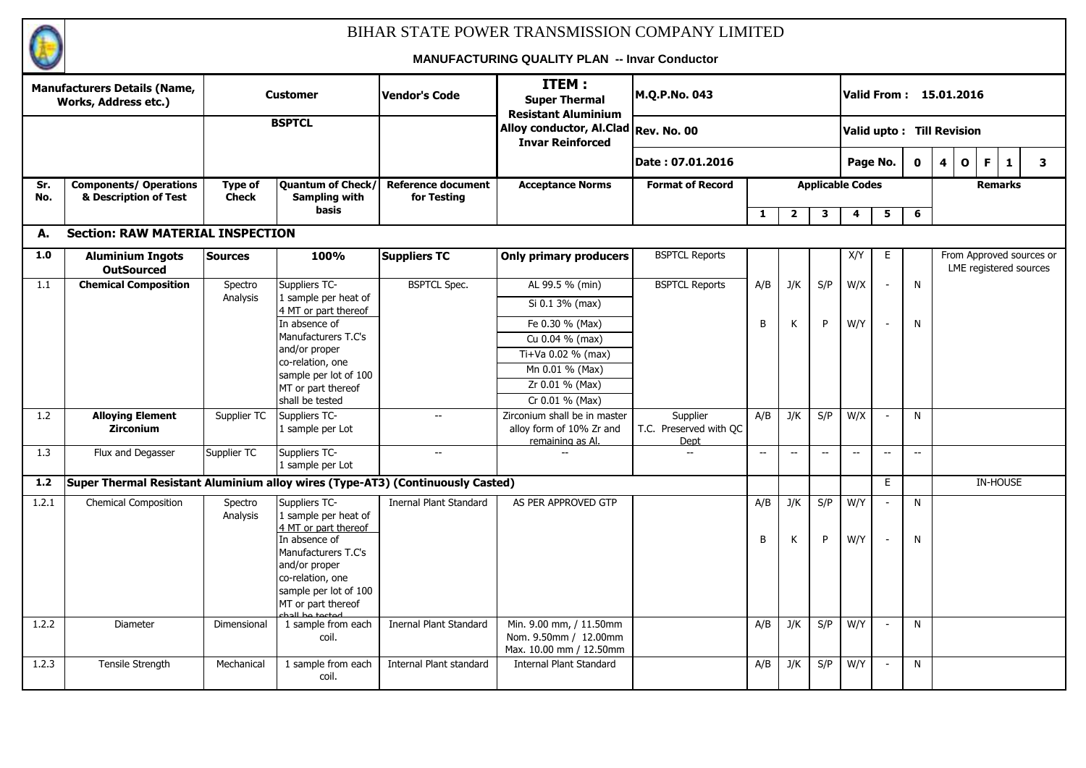

|            | <b>Manufacturers Details (Name,</b><br><b>Works, Address etc.)</b>             |                         | <b>Customer</b>                                                                                                                                                          | <b>Vendor's Code</b>                     | ITEM:<br><b>Super Thermal</b><br><b>Resistant Aluminium</b>                  | M.Q.P.No. 043                              |                          |                                                     |                                                     |                         |                                                     |                                   | Valid From: 15.01.2016                  |    |                |                                                    |
|------------|--------------------------------------------------------------------------------|-------------------------|--------------------------------------------------------------------------------------------------------------------------------------------------------------------------|------------------------------------------|------------------------------------------------------------------------------|--------------------------------------------|--------------------------|-----------------------------------------------------|-----------------------------------------------------|-------------------------|-----------------------------------------------------|-----------------------------------|-----------------------------------------|----|----------------|----------------------------------------------------|
|            |                                                                                |                         | <b>BSPTCL</b>                                                                                                                                                            |                                          | Alloy conductor, Al.Clad Rev. No. 00<br><b>Invar Reinforced</b>              |                                            |                          |                                                     |                                                     |                         |                                                     |                                   | Valid upto: Till Revision               |    |                |                                                    |
|            |                                                                                |                         |                                                                                                                                                                          |                                          |                                                                              | Date: 07.01.2016                           |                          |                                                     |                                                     | Page No.                |                                                     | $\mathbf 0$                       | $\overline{\mathbf{4}}$<br>$\mathbf{o}$ | F. | $\mathbf{1}$   | $\mathbf{3}$                                       |
| Sr.<br>No. | <b>Components/ Operations</b><br>& Description of Test                         | Type of<br><b>Check</b> | <b>Quantum of Check/</b><br>Sampling with                                                                                                                                | <b>Reference document</b><br>for Testing | <b>Acceptance Norms</b>                                                      | <b>Format of Record</b>                    |                          |                                                     |                                                     | <b>Applicable Codes</b> |                                                     |                                   |                                         |    | <b>Remarks</b> |                                                    |
|            |                                                                                |                         | <b>basis</b>                                                                                                                                                             |                                          |                                                                              |                                            | $\mathbf{1}$             | $\overline{2}$                                      | 3                                                   | 4                       | 5                                                   | 6                                 |                                         |    |                |                                                    |
| А.         | <b>Section: RAW MATERIAL INSPECTION</b>                                        |                         |                                                                                                                                                                          |                                          |                                                                              |                                            |                          |                                                     |                                                     |                         |                                                     |                                   |                                         |    |                |                                                    |
| 1.0        | <b>Aluminium Ingots</b><br><b>OutSourced</b>                                   | <b>Sources</b>          | 100%                                                                                                                                                                     | <b>Suppliers TC</b>                      | <b>Only primary producers</b>                                                | <b>BSPTCL Reports</b>                      |                          |                                                     |                                                     | X/Y                     | E.                                                  |                                   |                                         |    |                | From Approved sources or<br>LME registered sources |
| 1.1        | <b>Chemical Composition</b>                                                    | Spectro<br>Analysis     | Suppliers TC-<br>I sample per heat of                                                                                                                                    | <b>BSPTCL Spec.</b>                      | AL 99.5 % (min)                                                              | <b>BSPTCL Reports</b>                      | A/B                      | J/K                                                 | S/P                                                 | W/X                     |                                                     | N                                 |                                         |    |                |                                                    |
|            |                                                                                |                         | 4 MT or part thereof                                                                                                                                                     |                                          | Si 0.1 3% (max)                                                              |                                            |                          |                                                     |                                                     |                         |                                                     |                                   |                                         |    |                |                                                    |
|            |                                                                                |                         | In absence of                                                                                                                                                            |                                          | Fe 0.30 % (Max)                                                              |                                            | B                        | К                                                   | P                                                   | W/Y                     |                                                     | N                                 |                                         |    |                |                                                    |
|            |                                                                                |                         | Manufacturers T.C's                                                                                                                                                      |                                          | Cu 0.04 % (max)                                                              |                                            |                          |                                                     |                                                     |                         |                                                     |                                   |                                         |    |                |                                                    |
|            |                                                                                |                         | and/or proper<br>co-relation, one                                                                                                                                        |                                          | Ti+Va 0.02 % (max)                                                           |                                            |                          |                                                     |                                                     |                         |                                                     |                                   |                                         |    |                |                                                    |
|            |                                                                                |                         | sample per lot of 100                                                                                                                                                    |                                          | Mn 0.01 % (Max)                                                              |                                            |                          |                                                     |                                                     |                         |                                                     |                                   |                                         |    |                |                                                    |
|            |                                                                                |                         | MT or part thereof                                                                                                                                                       |                                          | Zr 0.01 % (Max)                                                              |                                            |                          |                                                     |                                                     |                         |                                                     |                                   |                                         |    |                |                                                    |
|            |                                                                                |                         | shall be tested                                                                                                                                                          |                                          | Cr 0.01 % (Max)                                                              |                                            |                          |                                                     |                                                     |                         |                                                     |                                   |                                         |    |                |                                                    |
| 1.2        | <b>Alloying Element</b><br><b>Zirconium</b>                                    | Supplier TC             | Suppliers TC-<br>1 sample per Lot                                                                                                                                        | $-$                                      | Zirconium shall be in master<br>alloy form of 10% Zr and<br>remaining as Al. | Supplier<br>T.C. Preserved with QC<br>Dept | A/B                      | J/K                                                 | S/P                                                 | W/X                     | $\overline{\phantom{a}}$                            | N                                 |                                         |    |                |                                                    |
| 1.3        | Flux and Degasser                                                              | Supplier TC             | Suppliers TC-<br>1 sample per Lot                                                                                                                                        | $-$                                      |                                                                              | $\overline{\phantom{a}}$                   | $\hspace{0.05cm} \ldots$ | $\hspace{0.05cm} -\hspace{0.05cm} -\hspace{0.05cm}$ | $\hspace{0.05cm} -\hspace{0.05cm} -\hspace{0.05cm}$ | $-$                     | $\hspace{0.05cm} -\hspace{0.05cm} -\hspace{0.05cm}$ | $\hspace{0.05cm} \dashrightarrow$ |                                         |    |                |                                                    |
| $1.2$      | Super Thermal Resistant Aluminium alloy wires (Type-AT3) (Continuously Casted) |                         |                                                                                                                                                                          |                                          |                                                                              |                                            |                          |                                                     |                                                     |                         | E.                                                  |                                   |                                         |    | IN-HOUSE       |                                                    |
| 1.2.1      | <b>Chemical Composition</b>                                                    | Spectro                 | Suppliers TC-                                                                                                                                                            | <b>Inernal Plant Standard</b>            | AS PER APPROVED GTP                                                          |                                            | A/B                      | J/K                                                 | S/P                                                 | W/Y                     | $\overline{\phantom{a}}$                            | N                                 |                                         |    |                |                                                    |
|            |                                                                                | Analysis                | 1 sample per heat of<br>4 MT or part thereof<br>In absence of<br>Manufacturers T.C's<br>and/or proper<br>co-relation, one<br>sample per lot of 100<br>MT or part thereof |                                          |                                                                              |                                            | B                        | К                                                   | P                                                   | W/Y                     |                                                     | N                                 |                                         |    |                |                                                    |
| 1.2.2      | Diameter                                                                       | Dimensional             | 1 sample from each<br>coil.                                                                                                                                              | Inernal Plant Standard                   | Min. 9.00 mm, / 11.50mm<br>Nom. 9.50mm / 12.00mm<br>Max. 10.00 mm / 12.50mm  |                                            | A/B                      | J/K                                                 | S/P                                                 | W/Y                     |                                                     | N                                 |                                         |    |                |                                                    |
| 1.2.3      | Tensile Strength                                                               | Mechanical              | 1 sample from each<br>coil.                                                                                                                                              | Internal Plant standard                  | <b>Internal Plant Standard</b>                                               |                                            | A/B                      | J/K                                                 | S/P                                                 | W/Y                     | $\overline{\phantom{a}}$                            | N                                 |                                         |    |                |                                                    |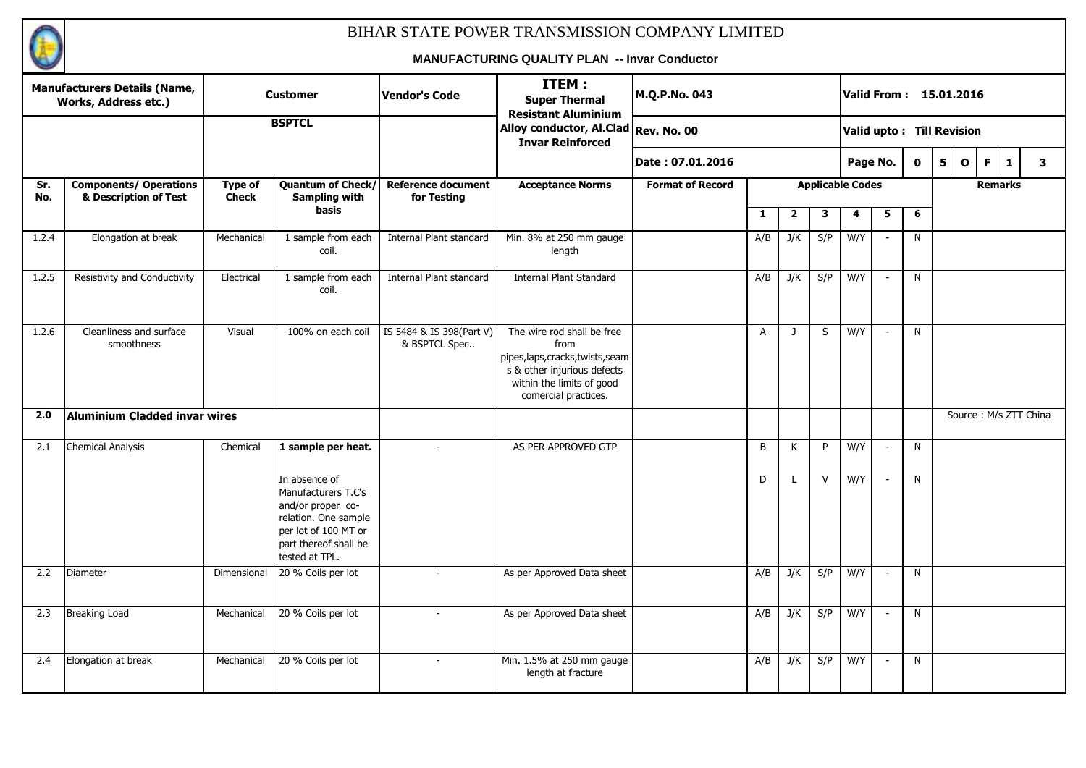

|            | <b>Manufacturers Details (Name,</b><br><b>Works, Address etc.)</b> |                                | <b>Customer</b>                                                                                                                                      | Vendor's Code                             | ITEM:<br><b>Super Thermal</b><br><b>Resistant Aluminium</b>                                                                                                 | M.Q.P.No. 043           |                |                |              | Valid From : 15.01.2016   |                          |             |   |              |                       |              |              |
|------------|--------------------------------------------------------------------|--------------------------------|------------------------------------------------------------------------------------------------------------------------------------------------------|-------------------------------------------|-------------------------------------------------------------------------------------------------------------------------------------------------------------|-------------------------|----------------|----------------|--------------|---------------------------|--------------------------|-------------|---|--------------|-----------------------|--------------|--------------|
|            |                                                                    |                                | <b>BSPTCL</b>                                                                                                                                        |                                           | Alloy conductor, Al.Clad Rev. No. 00<br><b>Invar Reinforced</b>                                                                                             |                         |                |                |              | Valid upto: Till Revision |                          |             |   |              |                       |              |              |
|            |                                                                    |                                |                                                                                                                                                      |                                           |                                                                                                                                                             | Date: 07.01.2016        |                |                |              | Page No.                  |                          | $\mathbf 0$ | 5 | $\mathbf{o}$ | F                     | $\mathbf{1}$ | $\mathbf{3}$ |
| Sr.<br>No. | <b>Components/ Operations</b><br>& Description of Test             | <b>Type of</b><br><b>Check</b> | <b>Quantum of Check/</b><br><b>Sampling with</b>                                                                                                     | <b>Reference document</b><br>for Testing  | <b>Acceptance Norms</b>                                                                                                                                     | <b>Format of Record</b> |                |                |              | <b>Applicable Codes</b>   |                          |             |   |              | <b>Remarks</b>        |              |              |
|            |                                                                    |                                | basis                                                                                                                                                |                                           |                                                                                                                                                             |                         | $\mathbf{1}$   | $\overline{2}$ | 3            | 4                         | 5                        | 6           |   |              |                       |              |              |
| 1.2.4      | Elongation at break                                                | Mechanical                     | 1 sample from each<br>coil.                                                                                                                          | Internal Plant standard                   | Min. 8% at 250 mm gauge<br>length                                                                                                                           |                         | A/B            | J/K            | S/P          | W/Y                       |                          | N           |   |              |                       |              |              |
| 1.2.5      | Resistivity and Conductivity                                       | Electrical                     | 1 sample from each<br>coil.                                                                                                                          | Internal Plant standard                   | <b>Internal Plant Standard</b>                                                                                                                              |                         | A/B            | J/K            | S/P          | W/Y                       | $\blacksquare$           | N           |   |              |                       |              |              |
| 1.2.6      | Cleanliness and surface<br>smoothness                              | Visual                         | 100% on each coil                                                                                                                                    | IS 5484 & IS 398(Part V)<br>& BSPTCL Spec | The wire rod shall be free<br>from<br>pipes, laps, cracks, twists, seam<br>s & other injurious defects<br>within the limits of good<br>comercial practices. |                         | $\overline{A}$ | J              | S            | W/Y                       | $\blacksquare$           | N           |   |              |                       |              |              |
| 2.0        | Aluminium Cladded invar wires                                      |                                |                                                                                                                                                      |                                           |                                                                                                                                                             |                         |                |                |              |                           |                          |             |   |              | Source: M/s ZTT China |              |              |
| 2.1        | <b>Chemical Analysis</b>                                           | Chemical                       | 1 sample per heat.                                                                                                                                   | $\overline{a}$                            | AS PER APPROVED GTP                                                                                                                                         |                         | B              | K              | P            | W/Y                       | $\sim$                   | N           |   |              |                       |              |              |
|            |                                                                    |                                | In absence of<br>Manufacturers T.C's<br>and/or proper co-<br>relation. One sample<br>per lot of 100 MT or<br>part thereof shall be<br>tested at TPL. |                                           |                                                                                                                                                             |                         | D              |                | $\mathsf{V}$ | W/Y                       | $\blacksquare$           | N           |   |              |                       |              |              |
| 2.2        | Diameter                                                           | Dimensional                    | 20 % Coils per lot                                                                                                                                   | $\overline{\phantom{a}}$                  | As per Approved Data sheet                                                                                                                                  |                         | A/B            | J/K            | S/P          | W/Y                       | $\overline{\phantom{a}}$ | N           |   |              |                       |              |              |
| 2.3        | <b>Breaking Load</b>                                               | Mechanical                     | 20 % Coils per lot                                                                                                                                   | $\overline{a}$                            | As per Approved Data sheet                                                                                                                                  |                         | A/B            | J/K            | S/P          | W/Y                       | $\overline{\phantom{a}}$ | N           |   |              |                       |              |              |
| 2.4        | Elongation at break                                                | Mechanical                     | 20 % Coils per lot                                                                                                                                   | $\overline{\phantom{a}}$                  | Min. 1.5% at 250 mm gauge<br>length at fracture                                                                                                             |                         | A/B            | J/K            | S/P          | W/Y                       | $\overline{\phantom{a}}$ | N           |   |              |                       |              |              |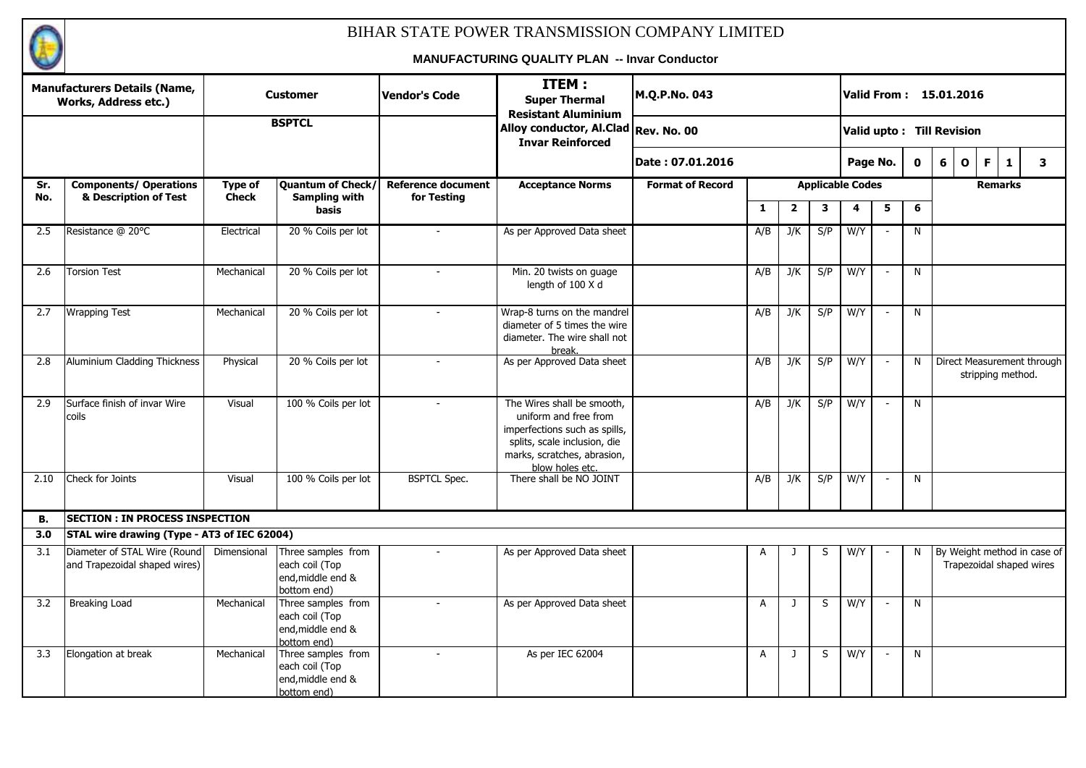

|      | <b>Manufacturers Details (Name,</b><br>Works, Address etc.)   |              | <b>Customer</b>                                                          | <b>Vendor's Code</b>      | ITEM:<br><b>Super Thermal</b><br><b>Resistant Aluminium</b>                                                                                                            | M.Q.P.No. 043           |                |              |     |                         |                          |              | Valid From: 15.01.2016      |                          |              |   |
|------|---------------------------------------------------------------|--------------|--------------------------------------------------------------------------|---------------------------|------------------------------------------------------------------------------------------------------------------------------------------------------------------------|-------------------------|----------------|--------------|-----|-------------------------|--------------------------|--------------|-----------------------------|--------------------------|--------------|---|
|      |                                                               |              | <b>BSPTCL</b>                                                            |                           | Alloy conductor, Al.Clad Rev. No. 00<br><b>Invar Reinforced</b>                                                                                                        |                         |                |              |     |                         |                          |              | Valid upto: Till Revision   |                          |              |   |
|      |                                                               |              |                                                                          |                           |                                                                                                                                                                        | Date: 07.01.2016        |                |              |     | Page No.                |                          | $\mathbf{0}$ | 6                           | $\mathbf{o}$<br>F.       | $\mathbf{1}$ | 3 |
| Sr.  | <b>Components/ Operations</b>                                 | Type of      | Quantum of Check/                                                        | <b>Reference document</b> | <b>Acceptance Norms</b>                                                                                                                                                | <b>Format of Record</b> |                |              |     | <b>Applicable Codes</b> |                          |              |                             |                          | Remarks      |   |
| No.  | & Description of Test                                         | <b>Check</b> | Sampling with<br>basis                                                   | for Testing               |                                                                                                                                                                        |                         | $\mathbf{1}$   | $\mathbf{2}$ | 3   | 4                       | 5                        | 6            |                             |                          |              |   |
| 2.5  | Resistance @ 20°C                                             | Electrical   | 20 % Coils per lot                                                       |                           | As per Approved Data sheet                                                                                                                                             |                         | A/B            | J/K          | S/P | W/Y                     |                          | N            |                             |                          |              |   |
| 2.6  | <b>Torsion Test</b>                                           | Mechanical   | 20 % Coils per lot                                                       | $\overline{\phantom{a}}$  | Min. 20 twists on guage<br>length of 100 X d                                                                                                                           |                         | A/B            | J/K          | S/P | W/Y                     | $\overline{\phantom{a}}$ | N            |                             |                          |              |   |
| 2.7  | <b>Wrapping Test</b>                                          | Mechanical   | 20 % Coils per lot                                                       |                           | Wrap-8 turns on the mandrel<br>diameter of 5 times the wire<br>diameter. The wire shall not<br>break.                                                                  |                         | A/B            | J/K          | S/P | W/Y                     | $\sim$                   | N            |                             |                          |              |   |
| 2.8  | Aluminium Cladding Thickness                                  | Physical     | 20 % Coils per lot                                                       |                           | As per Approved Data sheet                                                                                                                                             |                         | A/B            | J/K          | S/P | W/Y                     | $\overline{\phantom{a}}$ | N            | Direct Measurement through  | stripping method.        |              |   |
| 2.9  | Surface finish of invar Wire<br>coils                         | Visual       | 100 % Coils per lot                                                      |                           | The Wires shall be smooth,<br>uniform and free from<br>imperfections such as spills,<br>splits, scale inclusion, die<br>marks, scratches, abrasion,<br>blow holes etc. |                         | A/B            | J/K          | S/P | W/Y                     | $\overline{\phantom{a}}$ | N            |                             |                          |              |   |
| 2.10 | Check for Joints                                              | Visual       | 100 % Coils per lot                                                      | <b>BSPTCL Spec.</b>       | There shall be NO JOINT                                                                                                                                                |                         | A/B            | J/K          | S/P | W/Y                     | $\overline{\phantom{a}}$ | N            |                             |                          |              |   |
| В.   | <b>SECTION : IN PROCESS INSPECTION</b>                        |              |                                                                          |                           |                                                                                                                                                                        |                         |                |              |     |                         |                          |              |                             |                          |              |   |
| 3.0  | STAL wire drawing (Type - AT3 of IEC 62004)                   |              |                                                                          |                           |                                                                                                                                                                        |                         |                |              |     |                         |                          |              |                             |                          |              |   |
| 3.1  | Diameter of STAL Wire (Round<br>and Trapezoidal shaped wires) | Dimensional  | Three samples from<br>each coil (Top<br>end, middle end &<br>bottom end) |                           | As per Approved Data sheet                                                                                                                                             |                         | А              |              | S   | W/Y                     |                          | N            | By Weight method in case of | Trapezoidal shaped wires |              |   |
| 3.2  | <b>Breaking Load</b>                                          | Mechanical   | Three samples from<br>each coil (Top<br>end, middle end &<br>bottom end) |                           | As per Approved Data sheet                                                                                                                                             |                         | $\overline{A}$ | $\mathbf{J}$ | S   | W/Y                     | $\overline{\phantom{a}}$ | N            |                             |                          |              |   |
| 3.3  | Elongation at break                                           | Mechanical   | Three samples from<br>each coil (Top<br>end, middle end &<br>bottom end) | $\overline{\phantom{a}}$  | As per IEC 62004                                                                                                                                                       |                         | $\overline{A}$ | $\mathbf{J}$ | S   | W/Y                     | $\overline{\phantom{a}}$ | N            |                             |                          |              |   |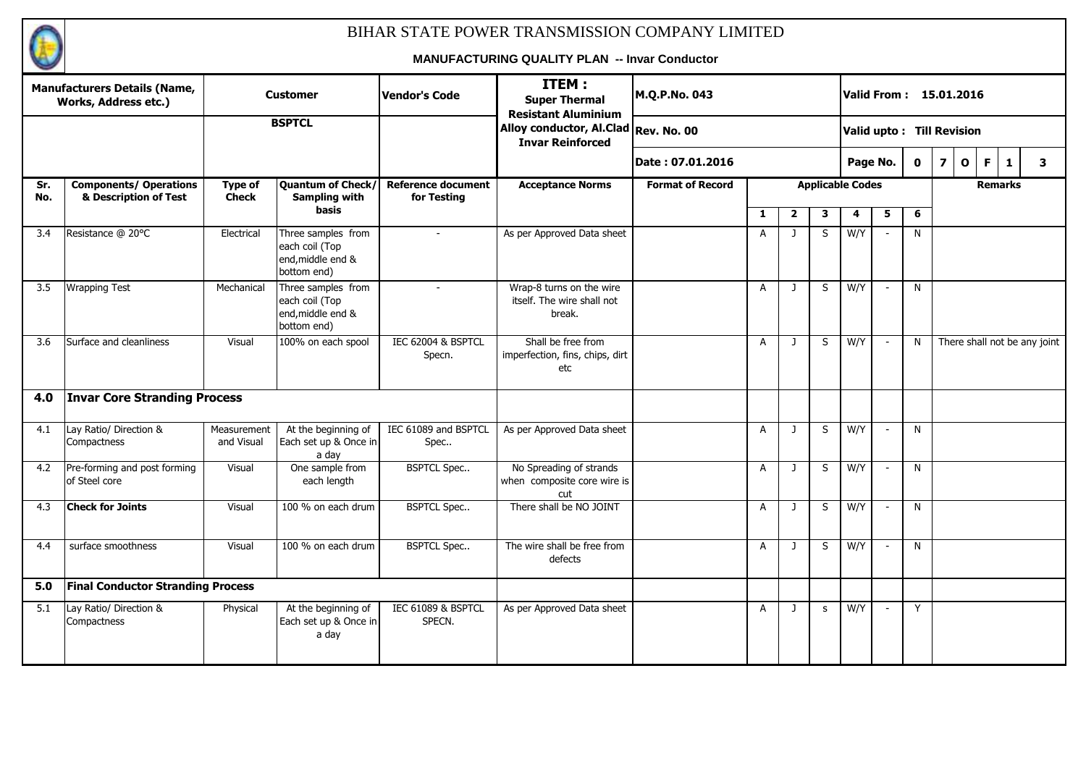

|            | <b>Manufacturers Details (Name,</b><br><b>Works, Address etc.)</b> |                                | <b>Customer</b>                                                          | <b>Vendor's Code</b>                     | ITEM:<br><b>Super Thermal</b><br><b>Resistant Aluminium</b>      | M.Q.P.No. 043           |                |                |              | Valid From: 15.01.2016    |                          |             |                         |              |                |                              |
|------------|--------------------------------------------------------------------|--------------------------------|--------------------------------------------------------------------------|------------------------------------------|------------------------------------------------------------------|-------------------------|----------------|----------------|--------------|---------------------------|--------------------------|-------------|-------------------------|--------------|----------------|------------------------------|
|            |                                                                    |                                | <b>BSPTCL</b>                                                            |                                          | Alloy conductor, Al.Clad Rev. No. 00<br><b>Invar Reinforced</b>  |                         |                |                |              | Valid upto: Till Revision |                          |             |                         |              |                |                              |
|            |                                                                    |                                |                                                                          |                                          |                                                                  | lDate : 07.01.2016      |                |                |              |                           | Page No.                 | $\mathbf 0$ | $\overline{\mathbf{z}}$ | $\mathbf{o}$ | F.<br>1        | 3                            |
| Sr.<br>No. | <b>Components/ Operations</b><br>& Description of Test             | <b>Type of</b><br><b>Check</b> | Quantum of Check/<br><b>Sampling with</b>                                | <b>Reference document</b><br>for Testing | <b>Acceptance Norms</b>                                          | <b>Format of Record</b> |                |                |              | <b>Applicable Codes</b>   |                          |             |                         |              | <b>Remarks</b> |                              |
|            |                                                                    |                                | basis                                                                    |                                          |                                                                  |                         | $\mathbf{1}$   | $\overline{2}$ | 3            | 4                         | 5                        | 6           |                         |              |                |                              |
| 3.4        | Resistance @ 20°C                                                  | Electrical                     | Three samples from<br>each coil (Top<br>end, middle end &<br>bottom end) |                                          | As per Approved Data sheet                                       |                         | $\mathsf{A}$   | $\mathbf{J}$   | S            | W/Y                       |                          | N.          |                         |              |                |                              |
| 3.5        | <b>Wrapping Test</b>                                               | Mechanical                     | Three samples from<br>each coil (Top<br>end, middle end &<br>bottom end) | $\overline{\phantom{a}}$                 | Wrap-8 turns on the wire<br>itself. The wire shall not<br>break. |                         | A              | $\mathbf{J}$   | S            | W/Y                       | $\overline{\phantom{a}}$ | N           |                         |              |                |                              |
| 3.6        | Surface and cleanliness                                            | Visual                         | 100% on each spool                                                       | IEC 62004 & BSPTCL<br>Specn.             | Shall be free from<br>imperfection, fins, chips, dirt<br>etc     |                         | $\mathsf{A}$   | J              | S            | W/Y                       | $\overline{\phantom{a}}$ | N           |                         |              |                | There shall not be any joint |
| 4.0        | <b>Invar Core Stranding Process</b>                                |                                |                                                                          |                                          |                                                                  |                         |                |                |              |                           |                          |             |                         |              |                |                              |
| 4.1        | Lay Ratio/ Direction &<br>Compactness                              | Measurement<br>and Visual      | At the beginning of<br>Each set up & Once in<br>a day                    | IEC 61089 and BSPTCL<br>Spec             | As per Approved Data sheet                                       |                         | A              | J              | S            | W/Y                       | $\overline{\phantom{a}}$ | N           |                         |              |                |                              |
| 4.2        | Pre-forming and post forming<br>of Steel core                      | Visual                         | One sample from<br>each length                                           | <b>BSPTCL Spec</b>                       | No Spreading of strands<br>when composite core wire is<br>cut    |                         | $\overline{A}$ | $\mathbf{J}$   | S            | W/Y                       | $\sim$                   | N           |                         |              |                |                              |
| 4.3        | <b>Check for Joints</b>                                            | Visual                         | 100 % on each drum                                                       | <b>BSPTCL Spec</b>                       | There shall be NO JOINT                                          |                         | $\mathsf{A}$   | $\mathbf{J}$   | S            | W/Y                       | $\sim$                   | N           |                         |              |                |                              |
| 4.4        | surface smoothness                                                 | Visual                         | 100 % on each drum                                                       | <b>BSPTCL Spec</b>                       | The wire shall be free from<br>defects                           |                         | A              | J              | S            | W/Y                       | $\overline{\phantom{a}}$ | N           |                         |              |                |                              |
| 5.0        | <b>Final Conductor Stranding Process</b>                           |                                |                                                                          |                                          |                                                                  |                         |                |                |              |                           |                          |             |                         |              |                |                              |
| 5.1        | Lay Ratio/ Direction &<br>Compactness                              | Physical                       | At the beginning of<br>Each set up & Once in<br>a day                    | IEC 61089 & BSPTCL<br>SPECN.             | As per Approved Data sheet                                       |                         | A              | $\mathbf{J}$   | $\mathsf{s}$ | W/Y                       | $\overline{\phantom{a}}$ | Y           |                         |              |                |                              |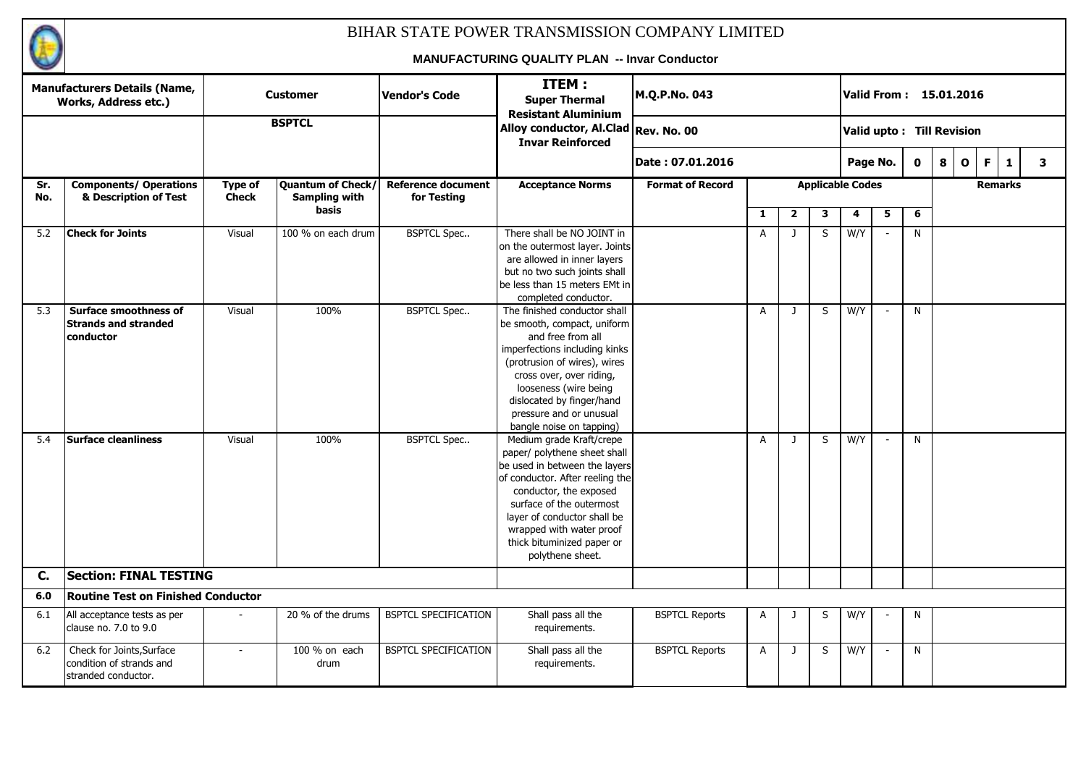

|            | <b>Manufacturers Details (Name,</b><br><b>Works, Address etc.)</b>           |                         | <b>Customer</b>                                  | <b>Vendor's Code</b>                     | ITEM:<br><b>Super Thermal</b><br><b>Resistant Aluminium</b>                                                                                                                                                                                                                                     | M.Q.P.No. 043           |                |                         |   |                           |                          |             | Valid From: 15.01.2016 |              |                |              |   |
|------------|------------------------------------------------------------------------------|-------------------------|--------------------------------------------------|------------------------------------------|-------------------------------------------------------------------------------------------------------------------------------------------------------------------------------------------------------------------------------------------------------------------------------------------------|-------------------------|----------------|-------------------------|---|---------------------------|--------------------------|-------------|------------------------|--------------|----------------|--------------|---|
|            |                                                                              |                         | <b>BSPTCL</b>                                    |                                          | Alloy conductor, Al.Clad Rev. No. 00<br><b>Invar Reinforced</b>                                                                                                                                                                                                                                 |                         |                |                         |   | Valid upto: Till Revision |                          |             |                        |              |                |              |   |
|            |                                                                              |                         |                                                  |                                          |                                                                                                                                                                                                                                                                                                 | Date: 07.01.2016        |                |                         |   | Page No.                  |                          | $\mathbf 0$ | 8                      | $\mathbf{o}$ | F.             | $\mathbf{1}$ | 3 |
| Sr.<br>No. | <b>Components/ Operations</b><br>& Description of Test                       | Type of<br><b>Check</b> | <b>Quantum of Check/</b><br><b>Sampling with</b> | <b>Reference document</b><br>for Testing | <b>Acceptance Norms</b>                                                                                                                                                                                                                                                                         | <b>Format of Record</b> |                |                         |   | <b>Applicable Codes</b>   |                          |             |                        |              | <b>Remarks</b> |              |   |
|            |                                                                              |                         | basis                                            |                                          |                                                                                                                                                                                                                                                                                                 |                         | $\mathbf{1}$   | $\overline{\mathbf{2}}$ | 3 | 4                         | 5                        | 6           |                        |              |                |              |   |
| 5.2        | <b>Check for Joints</b>                                                      | Visual                  | 100 % on each drum                               | <b>BSPTCL Spec</b>                       | There shall be NO JOINT in<br>on the outermost layer. Joints<br>are allowed in inner layers<br>but no two such joints shall<br>be less than 15 meters EMt in<br>completed conductor.                                                                                                            |                         | A              | J                       | S | W/Y                       |                          | N           |                        |              |                |              |   |
| 5.3        | <b>Surface smoothness of</b><br><b>Strands and stranded</b><br>conductor     | Visual                  | 100%                                             | <b>BSPTCL Spec</b>                       | The finished conductor shall<br>be smooth, compact, uniform<br>and free from all<br>imperfections including kinks<br>(protrusion of wires), wires<br>cross over, over riding,<br>looseness (wire being<br>dislocated by finger/hand<br>pressure and or unusual<br>bangle noise on tapping)      |                         | A              | $\mathbf{J}$            | S | W/Y                       | $\overline{\phantom{a}}$ | N           |                        |              |                |              |   |
| 5.4        | <b>Surface cleanliness</b>                                                   | Visual                  | 100%                                             | <b>BSPTCL Spec</b>                       | Medium grade Kraft/crepe<br>paper/ polythene sheet shall<br>be used in between the layers<br>of conductor. After reeling the<br>conductor, the exposed<br>surface of the outermost<br>layer of conductor shall be<br>wrapped with water proof<br>thick bituminized paper or<br>polythene sheet. |                         | $\overline{A}$ | J                       | S | W/Y                       |                          | N           |                        |              |                |              |   |
| C.         | <b>Section: FINAL TESTING</b>                                                |                         |                                                  |                                          |                                                                                                                                                                                                                                                                                                 |                         |                |                         |   |                           |                          |             |                        |              |                |              |   |
| 6.0        | <b>Routine Test on Finished Conductor</b>                                    |                         |                                                  |                                          |                                                                                                                                                                                                                                                                                                 |                         |                |                         |   |                           |                          |             |                        |              |                |              |   |
| 6.1        | All acceptance tests as per<br>clause no. 7.0 to 9.0                         |                         | 20 % of the drums                                | BSPTCL SPECIFICATION                     | Shall pass all the<br>requirements.                                                                                                                                                                                                                                                             | <b>BSPTCL Reports</b>   | Α              | J                       | S | W/Y                       |                          | N           |                        |              |                |              |   |
| 6.2        | Check for Joints, Surface<br>condition of strands and<br>stranded conductor. |                         | 100 % on each<br>drum                            | <b>BSPTCL SPECIFICATION</b>              | Shall pass all the<br>requirements.                                                                                                                                                                                                                                                             | <b>BSPTCL Reports</b>   | $\overline{A}$ | J                       | S | W/Y                       |                          | N           |                        |              |                |              |   |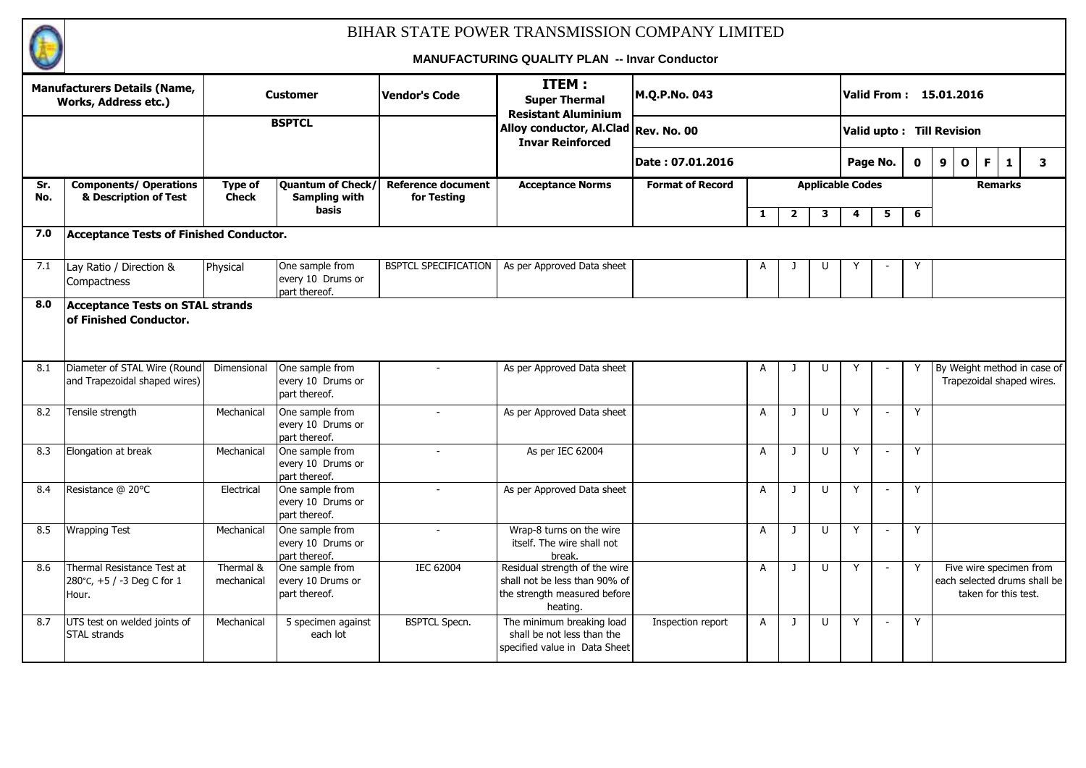

|            | <b>Manufacturers Details (Name,</b><br>Works, Address etc.)       |                                | <b>Customer</b>                                       | <b>Vendor's Code</b>                     | ITEM:<br><b>Super Thermal</b><br><b>Resistant Aluminium</b>                                                | M.Q.P.No. 043           |                |                |                         |   |                          |              | Valid From: 15.01.2016    |                      |                                                          |
|------------|-------------------------------------------------------------------|--------------------------------|-------------------------------------------------------|------------------------------------------|------------------------------------------------------------------------------------------------------------|-------------------------|----------------|----------------|-------------------------|---|--------------------------|--------------|---------------------------|----------------------|----------------------------------------------------------|
|            |                                                                   |                                | <b>BSPTCL</b>                                         |                                          | Alloy conductor, Al.Clad Rev. No. 00<br><b>Invar Reinforced</b>                                            |                         |                |                |                         |   |                          |              | Valid upto: Till Revision |                      |                                                          |
|            |                                                                   |                                |                                                       |                                          |                                                                                                            | Date: 07.01.2016        |                |                |                         |   | Page No.                 | $\mathbf{0}$ | 9<br>$\mathbf{o}$         | F.<br>1              | 3                                                        |
| Sr.<br>No. | <b>Components/ Operations</b><br>& Description of Test            | <b>Type of</b><br><b>Check</b> | Quantum of Check/<br>Sampling with                    | <b>Reference document</b><br>for Testing | <b>Acceptance Norms</b>                                                                                    | <b>Format of Record</b> |                |                | <b>Applicable Codes</b> |   |                          |              |                           | <b>Remarks</b>       |                                                          |
|            |                                                                   |                                | <b>basis</b>                                          |                                          |                                                                                                            |                         | $\mathbf{1}$   | $\overline{2}$ | 3                       | 4 | 5                        | 6            |                           |                      |                                                          |
| 7.0        | <b>Acceptance Tests of Finished Conductor.</b>                    |                                |                                                       |                                          |                                                                                                            |                         |                |                |                         |   |                          |              |                           |                      |                                                          |
| 7.1        | Lay Ratio / Direction &<br>Compactness                            | Physical                       | One sample from<br>every 10 Drums or<br>part thereof. | <b>BSPTCL SPECIFICATION</b>              | As per Approved Data sheet                                                                                 |                         | A              |                | U                       |   |                          | Y            |                           |                      |                                                          |
| 8.0        | <b>Acceptance Tests on STAL strands</b><br>of Finished Conductor. |                                |                                                       |                                          |                                                                                                            |                         |                |                |                         |   |                          |              |                           |                      |                                                          |
| 8.1        | Diameter of STAL Wire (Round<br>and Trapezoidal shaped wires)     | Dimensional                    | One sample from<br>every 10 Drums or<br>part thereof. |                                          | As per Approved Data sheet                                                                                 |                         | A              | -1             | U                       |   |                          | Y            |                           |                      | By Weight method in case of<br>Trapezoidal shaped wires. |
| 8.2        | Tensile strength                                                  | Mechanical                     | One sample from<br>every 10 Drums or<br>part thereof. | $\overline{\phantom{a}}$                 | As per Approved Data sheet                                                                                 |                         | $\overline{A}$ | J              | U                       | Y |                          | Y            |                           |                      |                                                          |
| 8.3        | Elongation at break                                               | Mechanical                     | One sample from<br>every 10 Drums or<br>part thereof. |                                          | As per IEC 62004                                                                                           |                         | $\overline{A}$ |                | $\cup$                  | v |                          | Y            |                           |                      |                                                          |
| 8.4        | Resistance @ 20°C                                                 | Electrical                     | One sample from<br>every 10 Drums or<br>part thereof. |                                          | As per Approved Data sheet                                                                                 |                         | A              | $\mathbf{1}$   | $\mathbf{U}$            | Y | $\sim$                   | Y            |                           |                      |                                                          |
| 8.5        | <b>Wrapping Test</b>                                              | Mechanical                     | One sample from<br>every 10 Drums or<br>part thereof. | $\overline{\phantom{a}}$                 | Wrap-8 turns on the wire<br>itself. The wire shall not<br>break.                                           |                         | A              | -1             | U                       | Y | $\overline{\phantom{a}}$ | Y            |                           |                      |                                                          |
| 8.6        | Thermal Resistance Test at<br>280°C, +5 / -3 Deg C for 1<br>Hour. | Thermal &<br>mechanical        | One sample from<br>every 10 Drums or<br>part thereof. | <b>IEC 62004</b>                         | Residual strength of the wire<br>shall not be less than 90% of<br>the strength measured before<br>heating. |                         | A              | $\mathbf{J}$   | $\cup$                  | Y |                          | Y            |                           | taken for this test. | Five wire specimen from<br>each selected drums shall be  |
| 8.7        | UTS test on welded joints of<br><b>STAL strands</b>               | Mechanical                     | 5 specimen against<br>each lot                        | <b>BSPTCL Specn.</b>                     | The minimum breaking load<br>shall be not less than the<br>specified value in Data Sheet                   | Inspection report       | $\overline{A}$ | $\mathbf{J}$   | $\cup$                  | Y | $\overline{\phantom{a}}$ | Y            |                           |                      |                                                          |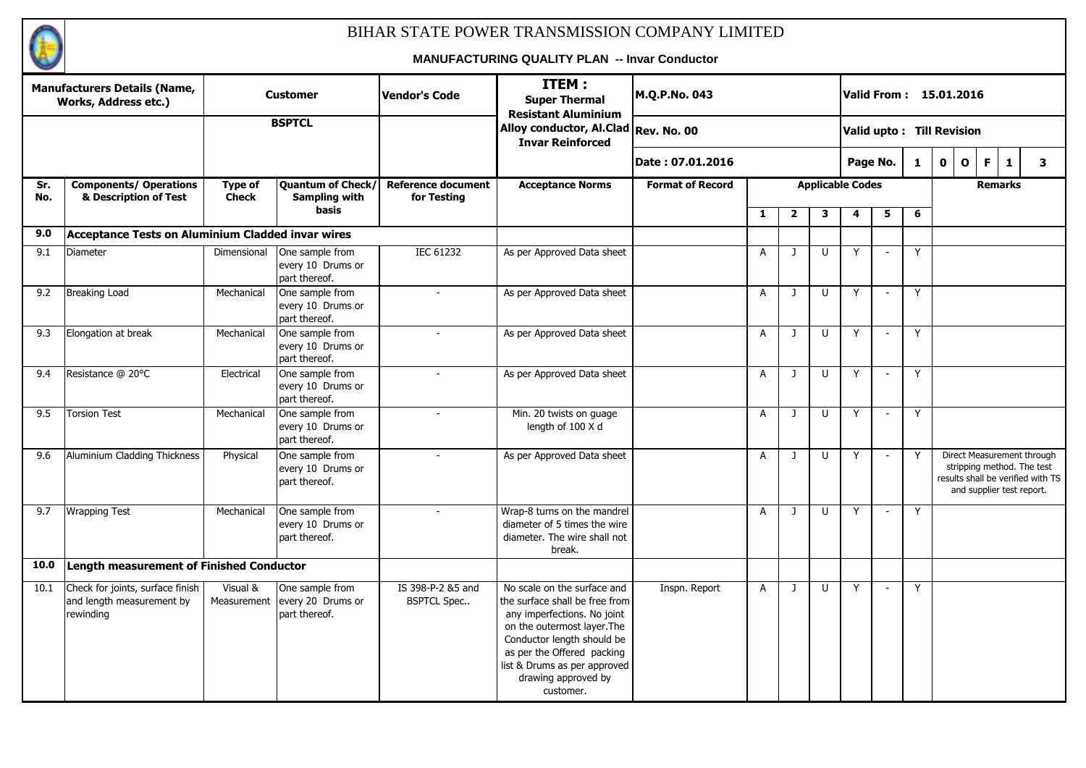

|            | <b>Manufacturers Details (Name,</b><br>Works, Address etc.)                |                                | <b>Customer</b>                                           | <b>Vendor's Code</b>                     | ITEM:<br><b>Super Thermal</b><br><b>Resistant Aluminium</b>                                                                                                                                                                                                 | M.Q.P.No. 043           |              |                |        | Valid From: 15.01.2016    |                          |   |             |              |                                                                                       |                                   |
|------------|----------------------------------------------------------------------------|--------------------------------|-----------------------------------------------------------|------------------------------------------|-------------------------------------------------------------------------------------------------------------------------------------------------------------------------------------------------------------------------------------------------------------|-------------------------|--------------|----------------|--------|---------------------------|--------------------------|---|-------------|--------------|---------------------------------------------------------------------------------------|-----------------------------------|
|            |                                                                            |                                | <b>BSPTCL</b>                                             |                                          | Alloy conductor, Al.Clad Rev. No. 00<br><b>Invar Reinforced</b>                                                                                                                                                                                             |                         |              |                |        | Valid upto: Till Revision |                          |   |             |              |                                                                                       |                                   |
|            |                                                                            |                                |                                                           |                                          |                                                                                                                                                                                                                                                             | Date: 07.01.2016        |              |                |        | Page No.                  |                          | 1 | $\mathbf 0$ | $\mathbf{o}$ | F<br>$\mathbf{1}$                                                                     | $\mathbf{3}$                      |
| Sr.<br>No. | <b>Components/ Operations</b><br>& Description of Test                     | <b>Type of</b><br><b>Check</b> | Quantum of Check/<br><b>Sampling with</b><br><b>basis</b> | <b>Reference document</b><br>for Testing | <b>Acceptance Norms</b>                                                                                                                                                                                                                                     | <b>Format of Record</b> |              |                |        | <b>Applicable Codes</b>   |                          |   |             |              | <b>Remarks</b>                                                                        |                                   |
|            |                                                                            |                                |                                                           |                                          |                                                                                                                                                                                                                                                             |                         | $\mathbf{1}$ | $\overline{2}$ | 3      | 4                         | 5                        | 6 |             |              |                                                                                       |                                   |
| 9.0        | Acceptance Tests on Aluminium Cladded invar wires                          |                                |                                                           |                                          |                                                                                                                                                                                                                                                             |                         |              |                |        |                           |                          |   |             |              |                                                                                       |                                   |
| 9.1        | Diameter                                                                   | Dimensional                    | One sample from<br>every 10 Drums or<br>part thereof.     | <b>IEC 61232</b>                         | As per Approved Data sheet                                                                                                                                                                                                                                  |                         | A            | $\mathbf{J}$   | U      | Y                         |                          | Y |             |              |                                                                                       |                                   |
| 9.2        | <b>Breaking Load</b>                                                       | Mechanical                     | One sample from<br>every 10 Drums or<br>part thereof.     | $\mathbf{r}$                             | As per Approved Data sheet                                                                                                                                                                                                                                  |                         | A            | $\mathbf{J}$   | $\cup$ | Y                         | $\blacksquare$           | Y |             |              |                                                                                       |                                   |
| 9.3        | Elongation at break                                                        | Mechanical                     | One sample from<br>every 10 Drums or<br>part thereof.     |                                          | As per Approved Data sheet                                                                                                                                                                                                                                  |                         | $\mathsf{A}$ | $\mathbf{J}$   | $\cup$ | Y                         | $\blacksquare$           | Y |             |              |                                                                                       |                                   |
| 9.4        | Resistance @ 20°C                                                          | Electrical                     | One sample from<br>every 10 Drums or<br>part thereof.     |                                          | As per Approved Data sheet                                                                                                                                                                                                                                  |                         | A            | J              | U      | Y                         |                          | Y |             |              |                                                                                       |                                   |
| 9.5        | <b>Torsion Test</b>                                                        | Mechanical                     | One sample from<br>every 10 Drums or<br>part thereof.     | $\overline{\phantom{a}}$                 | Min. 20 twists on guage<br>length of 100 X d                                                                                                                                                                                                                |                         | A            | $\mathbf{J}$   | $\cup$ | Y                         | $\overline{\phantom{a}}$ | Y |             |              |                                                                                       |                                   |
| 9.6        | Aluminium Cladding Thickness                                               | Physical                       | One sample from<br>every 10 Drums or<br>part thereof.     |                                          | As per Approved Data sheet                                                                                                                                                                                                                                  |                         | A            | J              | U      | Y                         | $\blacksquare$           | Y |             |              | Direct Measurement through<br>stripping method. The test<br>and supplier test report. | results shall be verified with TS |
| 9.7        | <b>Wrapping Test</b>                                                       | Mechanical                     | One sample from<br>every 10 Drums or<br>part thereof.     |                                          | Wrap-8 turns on the mandrel<br>diameter of 5 times the wire<br>diameter. The wire shall not<br>break.                                                                                                                                                       |                         | $\mathsf{A}$ | $\mathbf{J}$   | $\cup$ | Y                         |                          | Y |             |              |                                                                                       |                                   |
| 10.0       | Length measurement of Finished Conductor                                   |                                |                                                           |                                          |                                                                                                                                                                                                                                                             |                         |              |                |        |                           |                          |   |             |              |                                                                                       |                                   |
| 10.1       | Check for joints, surface finish<br>and length measurement by<br>rewinding | Visual &<br>Measurement        | One sample from<br>every 20 Drums or<br>part thereof.     | IS 398-P-2 &5 and<br><b>BSPTCL Spec</b>  | No scale on the surface and<br>the surface shall be free from<br>any imperfections. No joint<br>on the outermost layer. The<br>Conductor length should be<br>as per the Offered packing<br>list & Drums as per approved<br>drawing approved by<br>customer. | Inspn. Report           | $\mathsf{A}$ | J              | U      | Y                         |                          | Y |             |              |                                                                                       |                                   |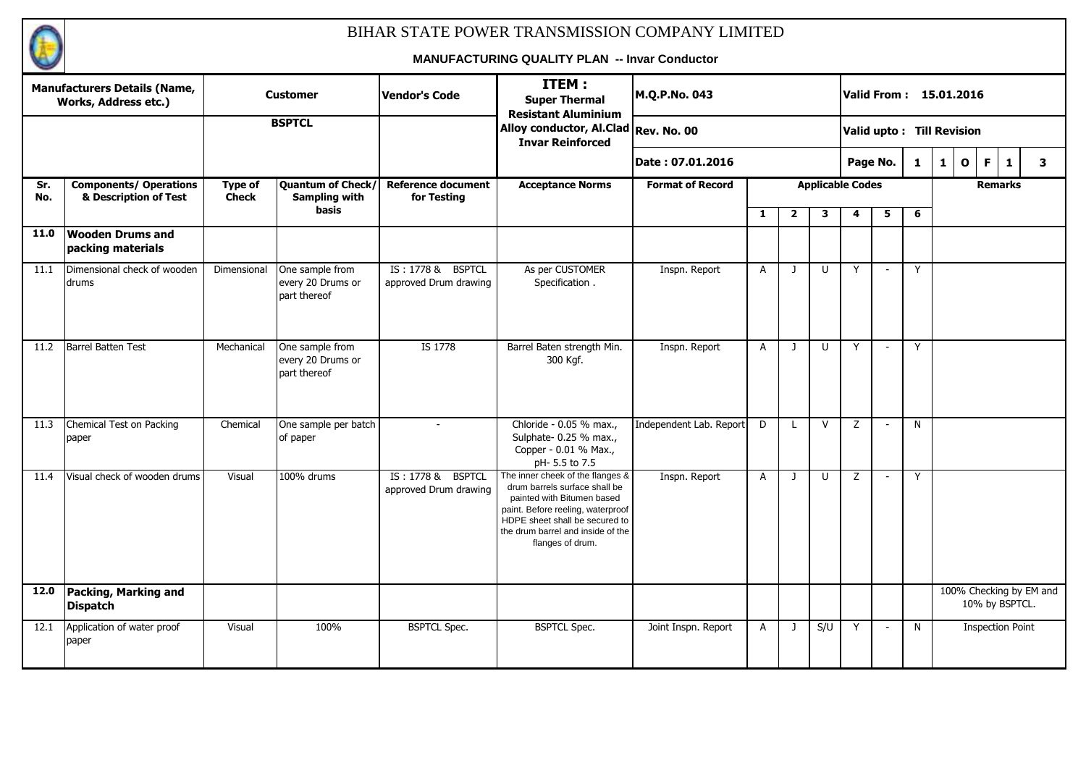

|            | <b>Manufacturers Details (Name,</b><br><b>Works, Address etc.)</b> |                         | <b>Customer</b>                                      | <b>Vendor's Code</b>                       | ITEM:<br><b>Super Thermal</b><br><b>Resistant Aluminium</b>                                                                                                                                                                     | M.Q.P.No. 043           |              |                |                         |   | Valid From : 15.01.2016   |              |              |              |                |                                           |
|------------|--------------------------------------------------------------------|-------------------------|------------------------------------------------------|--------------------------------------------|---------------------------------------------------------------------------------------------------------------------------------------------------------------------------------------------------------------------------------|-------------------------|--------------|----------------|-------------------------|---|---------------------------|--------------|--------------|--------------|----------------|-------------------------------------------|
|            |                                                                    |                         | <b>BSPTCL</b>                                        |                                            | Alloy conductor, Al.Clad Rev. No. 00<br><b>Invar Reinforced</b>                                                                                                                                                                 |                         |              |                |                         |   | Valid upto: Till Revision |              |              |              |                |                                           |
|            |                                                                    |                         |                                                      |                                            |                                                                                                                                                                                                                                 | Date: 07.01.2016        |              |                |                         |   | Page No.                  | $\mathbf{1}$ | $\mathbf{1}$ | $\mathbf{o}$ | F              | 3<br>$\mathbf{1}$                         |
| Sr.<br>No. | <b>Components/ Operations</b><br>& Description of Test             | Type of<br><b>Check</b> | Quantum of Check/<br><b>Sampling with</b>            | <b>Reference document</b><br>for Testing   | <b>Acceptance Norms</b>                                                                                                                                                                                                         | <b>Format of Record</b> |              |                | <b>Applicable Codes</b> |   |                           |              |              |              | <b>Remarks</b> |                                           |
|            |                                                                    |                         | basis                                                |                                            |                                                                                                                                                                                                                                 |                         | $\mathbf{1}$ | $\overline{2}$ | 3                       | 4 | 5                         | 6            |              |              |                |                                           |
| 11.0       | <b>Wooden Drums and</b><br>packing materials                       |                         |                                                      |                                            |                                                                                                                                                                                                                                 |                         |              |                |                         |   |                           |              |              |              |                |                                           |
| 11.1       | Dimensional check of wooden<br>drums                               | Dimensional             | One sample from<br>every 20 Drums or<br>part thereof | IS: 1778 & BSPTCL<br>approved Drum drawing | As per CUSTOMER<br>Specification.                                                                                                                                                                                               | Inspn. Report           | $\mathsf{A}$ | $\mathbf{1}$   | U                       | Y | $\overline{\phantom{a}}$  | Y            |              |              |                |                                           |
| 11.2       | <b>Barrel Batten Test</b>                                          | Mechanical              | One sample from<br>every 20 Drums or<br>part thereof | IS 1778                                    | Barrel Baten strength Min.<br>300 Kgf.                                                                                                                                                                                          | Inspn. Report           | $\mathsf{A}$ | $\mathbf{J}$   | U                       | Y | $\sim$                    | Y            |              |              |                |                                           |
| 11.3       | Chemical Test on Packing<br>paper                                  | Chemical                | One sample per batch<br>of paper                     |                                            | Chloride - 0.05 % max.,<br>Sulphate- 0.25 % max.,<br>Copper - 0.01 % Max.,<br>pH-5.5 to 7.5                                                                                                                                     | Independent Lab. Report | D            | $\mathsf{L}$   | $\mathsf{V}$            | Z | $\overline{\phantom{a}}$  | N            |              |              |                |                                           |
| 11.4       | Visual check of wooden drums                                       | Visual                  | 100% drums                                           | IS: 1778 & BSPTCL<br>approved Drum drawing | The inner cheek of the flanges &<br>drum barrels surface shall be<br>painted with Bitumen based<br>paint. Before reeling, waterproof<br>HDPE sheet shall be secured to<br>the drum barrel and inside of the<br>flanges of drum. | Inspn. Report           | $\mathsf{A}$ | $\mathbf{J}$   | $\cup$                  | Z |                           | Y            |              |              |                |                                           |
| 12.0       | Packing, Marking and<br><b>Dispatch</b>                            |                         |                                                      |                                            |                                                                                                                                                                                                                                 |                         |              |                |                         |   |                           |              |              |              |                | 100% Checking by EM and<br>10% by BSPTCL. |
| 12.1       | Application of water proof<br>paper                                | Visual                  | 100%                                                 | <b>BSPTCL Spec.</b>                        | <b>BSPTCL Spec.</b>                                                                                                                                                                                                             | Joint Inspn. Report     | A            | $\mathbf{J}$   | S/U                     | Y | $\overline{\phantom{a}}$  | N            |              |              |                | <b>Inspection Point</b>                   |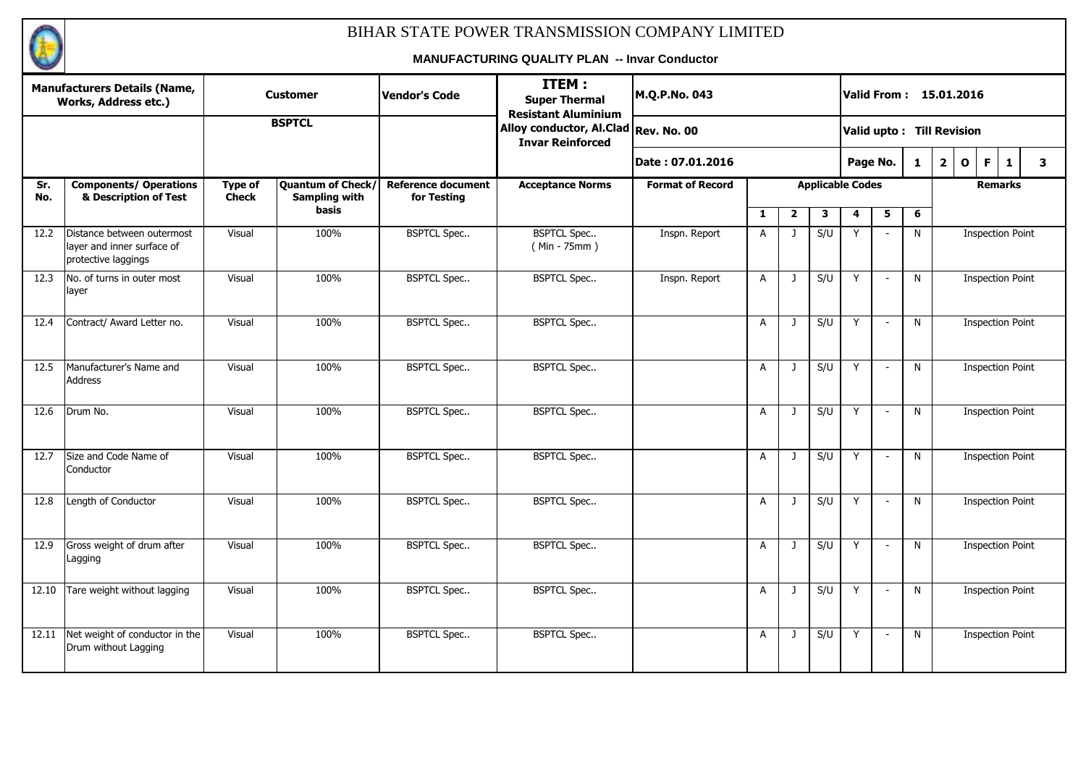

|            | <b>Manufacturers Details (Name,</b><br><b>Works, Address etc.)</b>              |                         | <b>Customer</b>                           | <b>Vendor's Code</b>                     | ITEM:<br><b>Super Thermal</b><br><b>Resistant Aluminium</b>     | M.Q.P.No. 043           |                |                |                         |          |                          |              | Valid From: 15.01.2016                             |                         |              |   |  |  |
|------------|---------------------------------------------------------------------------------|-------------------------|-------------------------------------------|------------------------------------------|-----------------------------------------------------------------|-------------------------|----------------|----------------|-------------------------|----------|--------------------------|--------------|----------------------------------------------------|-------------------------|--------------|---|--|--|
|            |                                                                                 |                         | <b>BSPTCL</b>                             |                                          | Alloy conductor, Al.Clad Rev. No. 00<br><b>Invar Reinforced</b> |                         |                |                |                         |          |                          |              | Valid upto: Till Revision                          |                         |              |   |  |  |
|            |                                                                                 |                         |                                           |                                          |                                                                 | Date: 07.01.2016        |                |                |                         | Page No. |                          | $\mathbf{1}$ | $\overline{\mathbf{2}}$<br>$\mathbf{o}$            | F.                      | $\mathbf{1}$ | 3 |  |  |
| Sr.<br>No. | <b>Components/ Operations</b><br>& Description of Test                          | Type of<br><b>Check</b> | Quantum of Check/<br><b>Sampling with</b> | <b>Reference document</b><br>for Testing | <b>Acceptance Norms</b>                                         | <b>Format of Record</b> |                |                | <b>Applicable Codes</b> |          |                          |              |                                                    | <b>Remarks</b>          |              |   |  |  |
|            |                                                                                 |                         | basis                                     |                                          |                                                                 |                         | $\mathbf{1}$   | $\overline{2}$ | 3                       | 4        | 5                        | 6            |                                                    |                         |              |   |  |  |
| 12.2       | Distance between outermost<br>layer and inner surface of<br>protective laggings | Visual                  | 100%                                      | <b>BSPTCL Spec</b>                       | <b>BSPTCL Spec</b><br>$(Min - 75mm)$                            | Inspn. Report           | $\overline{A}$ | $\mathbf{J}$   | S/U                     |          |                          | N            |                                                    | <b>Inspection Point</b> |              |   |  |  |
| 12.3       | No. of turns in outer most<br>layer                                             | Visual                  | 100%                                      | <b>BSPTCL Spec</b>                       | <b>BSPTCL Spec</b>                                              | Inspn. Report           | $\overline{A}$ | $\mathbf{J}$   | S/U                     | Y        |                          | N            | <b>Inspection Point</b><br><b>Inspection Point</b> |                         |              |   |  |  |
| 12.4       | Contract/ Award Letter no.                                                      | Visual                  | 100%                                      | <b>BSPTCL Spec</b>                       | <b>BSPTCL Spec</b>                                              |                         | $\overline{A}$ | $\mathbf{J}$   | S/U                     | Y        |                          | N            |                                                    |                         |              |   |  |  |
| 12.5       | Manufacturer's Name and<br><b>Address</b>                                       | Visual                  | 100%                                      | <b>BSPTCL Spec</b>                       | <b>BSPTCL Spec</b>                                              |                         | A              | J              | S/U                     | Y        |                          | N            |                                                    | <b>Inspection Point</b> |              |   |  |  |
| 12.6       | Drum No.                                                                        | Visual                  | 100%                                      | <b>BSPTCL Spec</b>                       | <b>BSPTCL Spec</b>                                              |                         | A              | $\mathbf{J}$   | S/U                     | Y        | $\overline{\phantom{a}}$ | N            |                                                    | <b>Inspection Point</b> |              |   |  |  |
| 12.7       | Size and Code Name of<br>Conductor                                              | Visual                  | 100%                                      | <b>BSPTCL Spec</b>                       | <b>BSPTCL Spec</b>                                              |                         | A              | J              | S/U                     | Y        | $\overline{\phantom{a}}$ | N            |                                                    | <b>Inspection Point</b> |              |   |  |  |
| 12.8       | Length of Conductor                                                             | Visual                  | 100%                                      | <b>BSPTCL Spec</b>                       | <b>BSPTCL Spec</b>                                              |                         | A              | $\mathbf{J}$   | S/U                     | Y        | $\overline{\phantom{a}}$ | N            |                                                    | <b>Inspection Point</b> |              |   |  |  |
| 12.9       | Gross weight of drum after<br>Lagging                                           | Visual                  | 100%                                      | <b>BSPTCL Spec</b>                       | <b>BSPTCL Spec</b>                                              |                         | A              | J              | S/U                     | Y        | $\overline{\phantom{a}}$ | N            |                                                    | <b>Inspection Point</b> |              |   |  |  |
| 12.10      | Tare weight without lagging                                                     | Visual                  | 100%                                      | <b>BSPTCL Spec</b>                       | <b>BSPTCL Spec</b>                                              |                         | $\overline{A}$ | $\mathbf{J}$   | S/U                     | Y        | $\overline{\phantom{a}}$ | N            |                                                    | <b>Inspection Point</b> |              |   |  |  |
| 12.11      | Net weight of conductor in the<br>Drum without Lagging                          | Visual                  | 100%                                      | <b>BSPTCL Spec</b>                       | <b>BSPTCL Spec</b>                                              |                         | A              | J              | S/U                     | Y        | $\overline{\phantom{a}}$ | N            |                                                    | <b>Inspection Point</b> |              |   |  |  |